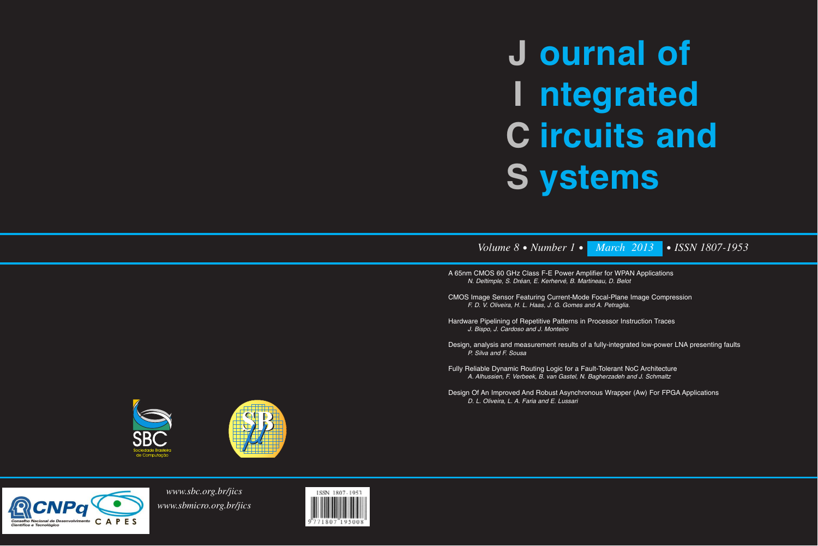*www.sbc.org.br/jics www.sbmicro.org.br/jics*



A 65nm CMOS 60 GHz Class F-E Power Amplifier for WPAN Applications *N. Deltimple, S. Dréan, E. Kerhervé, B. Martineau, D. Belot*

CMOS Image Sensor Featuring Current-Mode Focal-Plane Image Compression *F. D. V. Oliveira, H. L. Haas, J. G. Gomes and A. Petraglia*.

Hardware Pipelining of Repetitive Patterns in Processor Instruction Traces *J. Bispo, J. Cardoso and J. Monteiro*

# **ournal of J ntegrated I ircuits and C ystems S**

## *Volume 8 • Number 1 • March 2013* • *ISSN 1807-1953*

Design, analysis and measurement results of a fully-integrated low-power LNA presenting faults *P. Silva and F. Sousa* 

Fully Reliable Dynamic Routing Logic for a Fault-Tolerant NoC Architecture *A. Alhussien, F. Verbeek, B. van Gastel, N. Bagherzadeh and J. Schmaltz*

Design Of An Improved And Robust Asynchronous Wrapper (Aw) For FPGA Applications *D. L. Oliveira, L. A. Faria and E. Lussari*





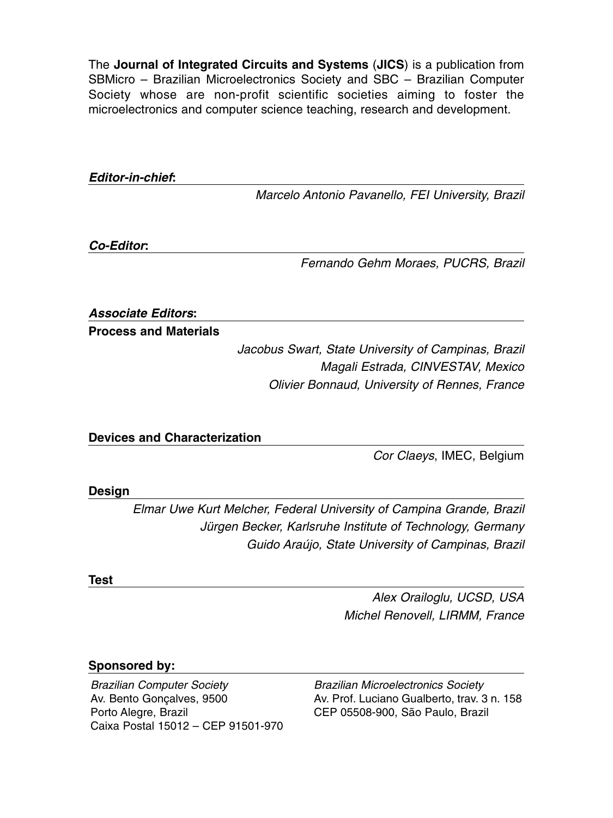The **Journal of Integrated Circuits and Systems** (**JICS**) is a publication from SBMicro – Brazilian Microelectronics Society and SBC – Brazilian Computer Society whose are non-profit scientific societies aiming to foster the microelectronics and computer science teaching, research and development.

*Editor-in-chief***:**

*Marcelo Antonio Pavanello, FEI University, Brazil*

*Co-Editor***:**

*Fernando Gehm Moraes, PUCRS, Brazil*

### *Associate Editors***:**

**Process and Materials**

*Jacobus Swart, State University of Campinas, Brazil Magali Estrada, CINVESTAV, Mexico Olivier Bonnaud, University of Rennes, France*

**Devices and Characterization**

*Cor Claeys*, IMEC, Belgium

**Design**

*Elmar Uwe Kurt Melcher, Federal University of Campina Grande, Brazil Jürgen Becker, Karlsruhe Institute of Technology, Germany Guido Araújo, State University of Campinas, Brazil*

**Test**

*Alex Orailoglu, UCSD, USA Michel Renovell, LIRMM, France*

### **Sponsored by:**

*Brazilian Computer Society* Av. Bento Gonçalves, 9500 Porto Alegre, Brazil Caixa Postal 15012 – CEP 91501-970 *Brazilian Microelectronics Society* Av. Prof. Luciano Gualberto, trav. 3 n. 158 CEP 05508-900, São Paulo, Brazil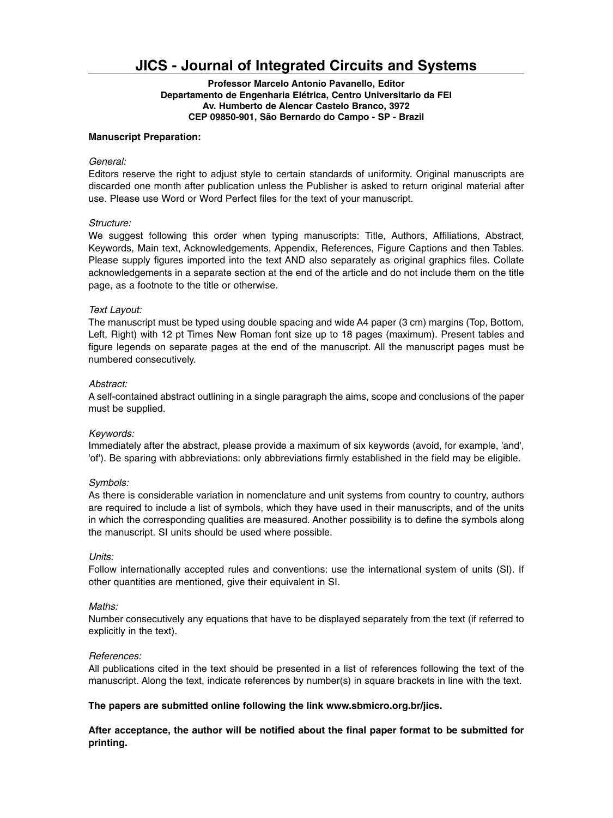### **JICS - Journal of Integrated Circuits and Systems**

**Professor Marcelo Antonio Pavanello, Editor Departamento de Engenharia Elétrica, Centro Universitario da FEI Av. Humberto de Alencar Castelo Branco, 3972 CEP 09850-901, São Bernardo do Campo - SP - Brazil**

#### **Manuscript Preparation:**

#### *General:*

Editors reserve the right to adjust style to certain standards of uniformity. Original manuscripts are discarded one month after publication unless the Publisher is asked to return original material after use. Please use Word or Word Perfect files for the text of your manuscript.

#### *Structure:*

We suggest following this order when typing manuscripts: Title, Authors, Affiliations, Abstract, Keywords, Main text, Acknowledgements, Appendix, References, Figure Captions and then Tables. Please supply figures imported into the text AND also separately as original graphics files. Collate acknowledgements in a separate section at the end of the article and do not include them on the title page, as a footnote to the title or otherwise.

#### *Text Layout:*

The manuscript must be typed using double spacing and wide A4 paper (3 cm) margins (Top, Bottom, Left, Right) with 12 pt Times New Roman font size up to 18 pages (maximum). Present tables and figure legends on separate pages at the end of the manuscript. All the manuscript pages must be numbered consecutively.

#### *Abstract:*

A self-contained abstract outlining in a single paragraph the aims, scope and conclusions of the paper must be supplied.

#### *Keywords:*

Immediately after the abstract, please provide a maximum of six keywords (avoid, for example, 'and', 'of'). Be sparing with abbreviations: only abbreviations firmly established in the field may be eligible.

#### *Symbols:*

As there is considerable variation in nomenclature and unit systems from country to country, authors are required to include a list of symbols, which they have used in their manuscripts, and of the units in which the corresponding qualities are measured. Another possibility is to define the symbols along the manuscript. SI units should be used where possible.

#### *Units:*

Follow internationally accepted rules and conventions: use the international system of units (SI). If other quantities are mentioned, give their equivalent in SI.

#### *Maths:*

Number consecutively any equations that have to be displayed separately from the text (if referred to explicitly in the text).

#### *References:*

All publications cited in the text should be presented in a list of references following the text of the manuscript. Along the text, indicate references by number(s) in square brackets in line with the text.

#### **The papers are submitted online following the link www.sbmicro.org.br/jics.**

**After acceptance, the author will be notified about the final paper format to be submitted for printing.**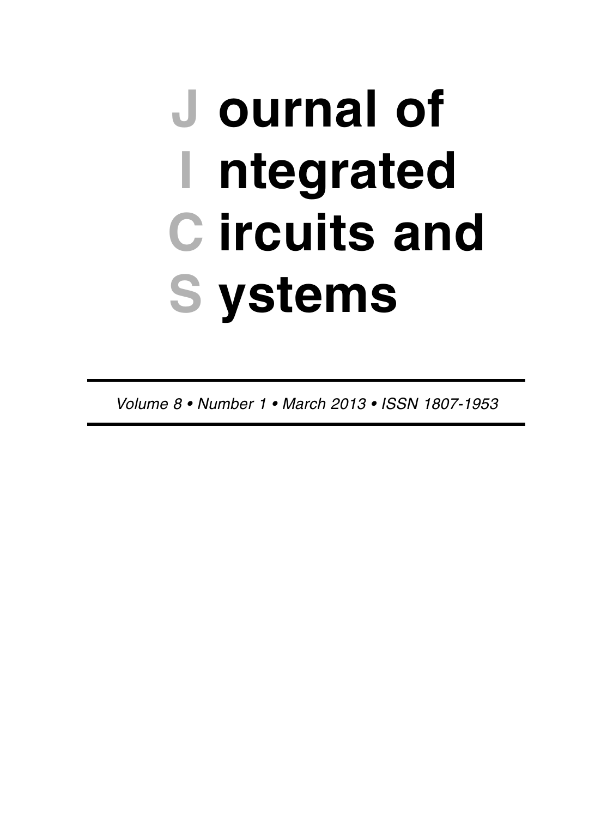# **ournal of J ntegrated I ircuits and C ystems S**

*Volume 8 • Number 1 • March 2013 • ISSN 1807-1953*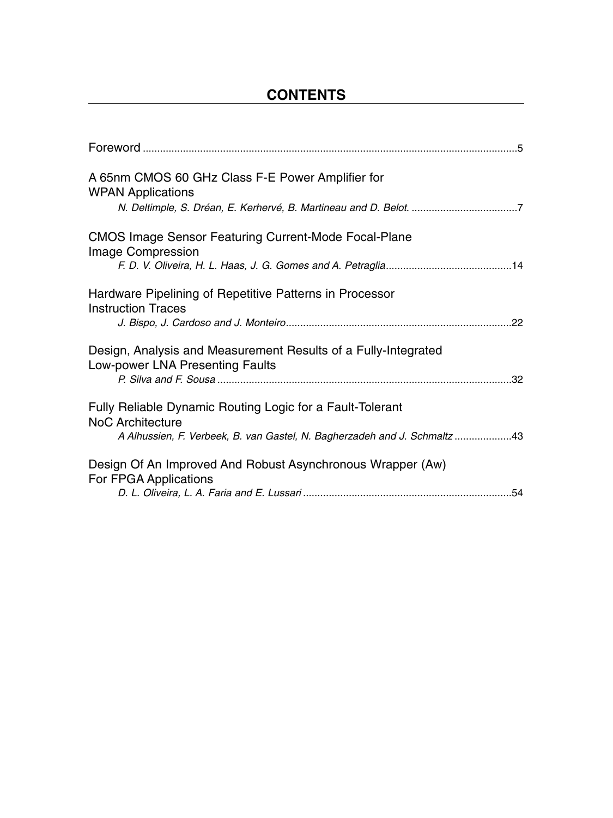# **CONTENTS**

| A 65nm CMOS 60 GHz Class F-E Power Amplifier for<br><b>WPAN Applications</b>                                                                                     |
|------------------------------------------------------------------------------------------------------------------------------------------------------------------|
| <b>CMOS Image Sensor Featuring Current-Mode Focal-Plane</b><br>Image Compression                                                                                 |
| Hardware Pipelining of Repetitive Patterns in Processor<br><b>Instruction Traces</b>                                                                             |
| Design, Analysis and Measurement Results of a Fully-Integrated<br>Low-power LNA Presenting Faults                                                                |
| Fully Reliable Dynamic Routing Logic for a Fault-Tolerant<br><b>NoC Architecture</b><br>A Alhussien, F. Verbeek, B. van Gastel, N. Bagherzadeh and J. Schmaltz43 |
| Design Of An Improved And Robust Asynchronous Wrapper (Aw)<br>For FPGA Applications                                                                              |